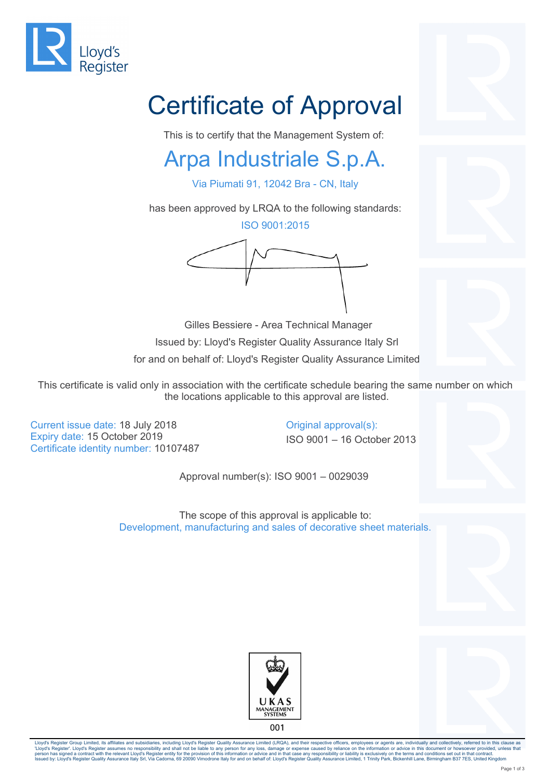

# Certificate of Approval

This is to certify that the Management System of:

#### Arpa Industriale S.p.A.

Via Piumati 91, 12042 Bra - CN, Italy

has been approved by LRQA to the following standards:

ISO 9001:2015

 Gilles Bessiere - Area Technical Manager Issued by: Lloyd's Register Quality Assurance Italy Srl for and on behalf of: Lloyd's Register Quality Assurance Limited

This certificate is valid only in association with the certificate schedule bearing the same number on which the locations applicable to this approval are listed.

Current issue date: 18 July 2018 Current issue date: 18 July 2018 Expiry date: 15 October 2019 **ISO 9001** – 16 October 2013 Certificate identity number: 10107487

Approval number(s): ISO 9001 – 0029039

The scope of this approval is applicable to: Development, manufacturing and sales of decorative sheet materials.





Lloyd's Register Group Limited, its affiliates and subsidiaries, including Lloyd's Register Quality Assurance Limited (LRQA), and their respective officers, employees or agents are, individually and collectively, referred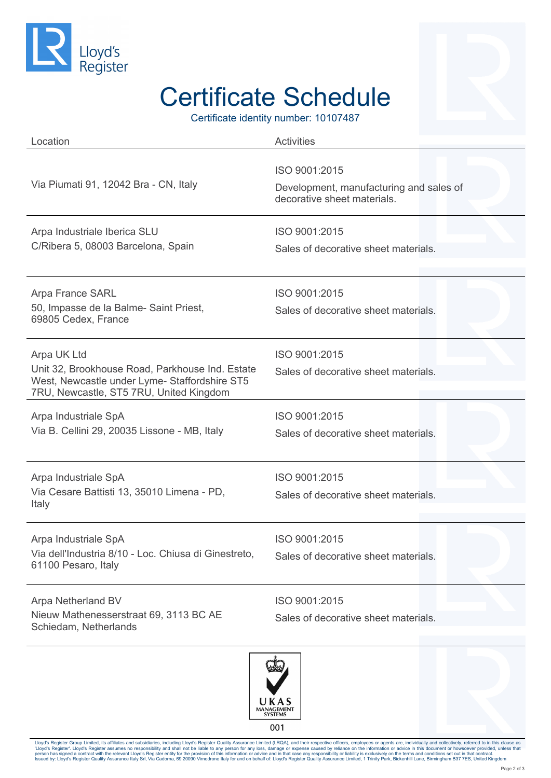

## Certificate Schedule

Certificate identity number: 10107487

| Location                                                                                                                                                   | <b>Activities</b>                                                                       |
|------------------------------------------------------------------------------------------------------------------------------------------------------------|-----------------------------------------------------------------------------------------|
| Via Piumati 91, 12042 Bra - CN, Italy                                                                                                                      | ISO 9001:2015<br>Development, manufacturing and sales of<br>decorative sheet materials. |
| Arpa Industriale Iberica SLU<br>C/Ribera 5, 08003 Barcelona, Spain                                                                                         | ISO 9001:2015<br>Sales of decorative sheet materials.                                   |
| Arpa France SARL<br>50, Impasse de la Balme- Saint Priest,<br>69805 Cedex, France                                                                          | ISO 9001:2015<br>Sales of decorative sheet materials.                                   |
| Arpa UK Ltd<br>Unit 32, Brookhouse Road, Parkhouse Ind. Estate<br>West, Newcastle under Lyme- Staffordshire ST5<br>7RU, Newcastle, ST5 7RU, United Kingdom | ISO 9001:2015<br>Sales of decorative sheet materials.                                   |
| Arpa Industriale SpA<br>Via B. Cellini 29, 20035 Lissone - MB, Italy                                                                                       | ISO 9001:2015<br>Sales of decorative sheet materials.                                   |
| Arpa Industriale SpA<br>Via Cesare Battisti 13, 35010 Limena - PD,<br>Italy                                                                                | ISO 9001:2015<br>Sales of decorative sheet materials.                                   |
| Arpa Industriale SpA<br>Via dell'Industria 8/10 - Loc. Chiusa di Ginestreto,<br>61100 Pesaro, Italy                                                        | ISO 9001:2015<br>Sales of decorative sheet materials.                                   |
| Arpa Netherland BV<br>Nieuw Mathenesserstraat 69, 3113 BC AE<br>Schiedam, Netherlands                                                                      | ISO 9001:2015<br>Sales of decorative sheet materials.                                   |



Lloyd's Register Group Limited, its affiliates and subsidiaries, including Lloyd's Register Quality Assurance Limited (LRQA), and their respective officers, employees or agents are, individually and collectively, referred